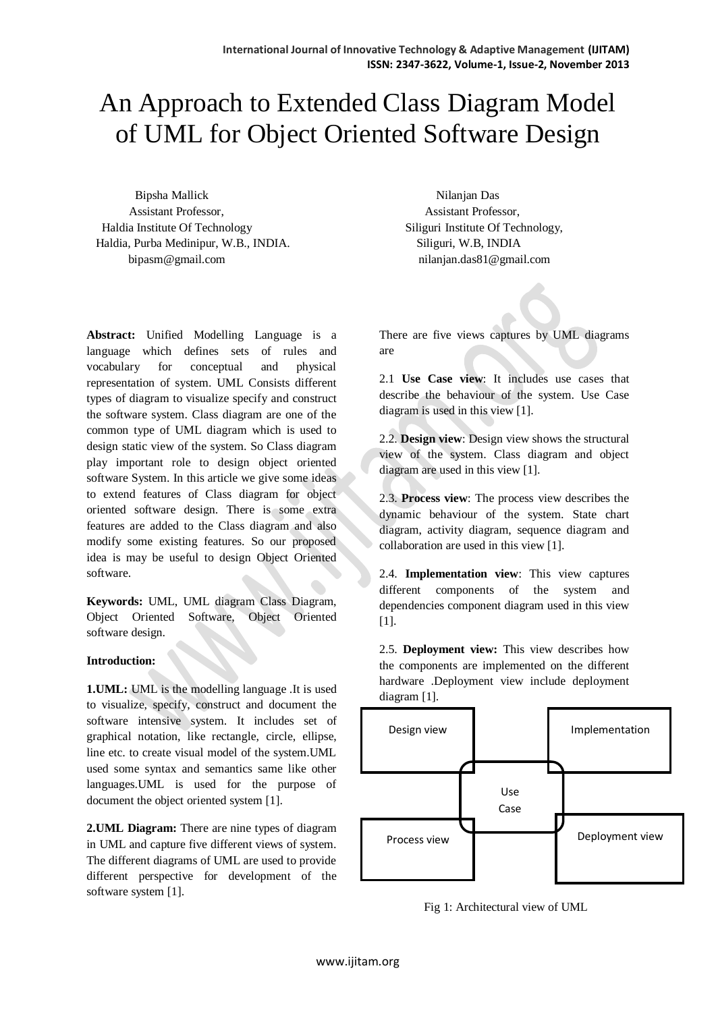# An Approach to Extended Class Diagram Model of UML for Object Oriented Software Design

Bipsha Mallick Nilanjan Das Assistant Professor, Assistant Professor, Haldia Institute Of Technology Siliguri Institute Of Technology, Haldia, Purba Medinipur, W.B., INDIA. Siliguri, W.B, INDIA [bipasm@gmail.com](mailto:bipasm@gmail.com) nilanjan.das81@gmail.com

**Abstract:** Unified Modelling Language is a language which defines sets of rules and vocabulary for conceptual and physical representation of system. UML Consists different types of diagram to visualize specify and construct the software system. Class diagram are one of the common type of UML diagram which is used to design static view of the system. So Class diagram play important role to design object oriented software System. In this article we give some ideas to extend features of Class diagram for object oriented software design. There is some extra features are added to the Class diagram and also modify some existing features. So our proposed idea is may be useful to design Object Oriented software.

**Keywords:** UML, UML diagram Class Diagram, Object Oriented Software, Object Oriented software design.

## **Introduction:**

**1.UML:** UML is the modelling language .It is used to visualize, specify, construct and document the software intensive system. It includes set of graphical notation, like rectangle, circle, ellipse, line etc. to create visual model of the system.UML used some syntax and semantics same like other languages.UML is used for the purpose of document the object oriented system [1].

**2.UML Diagram:** There are nine types of diagram in UML and capture five different views of system. The different diagrams of UML are used to provide different perspective for development of the software system [1].

There are five views captures by UML diagrams are

2.1 **Use Case view**: It includes use cases that describe the behaviour of the system. Use Case diagram is used in this view [1].

2.2. **Design view**: Design view shows the structural view of the system. Class diagram and object diagram are used in this view [1].

2.3. **Process view**: The process view describes the dynamic behaviour of the system. State chart diagram, activity diagram, sequence diagram and collaboration are used in this view [1].

2.4. **Implementation view**: This view captures different components of the system and dependencies component diagram used in this view [1].

2.5. **Deployment view:** This view describes how the components are implemented on the different hardware .Deployment view include deployment diagram [1].



Fig 1: Architectural view of UML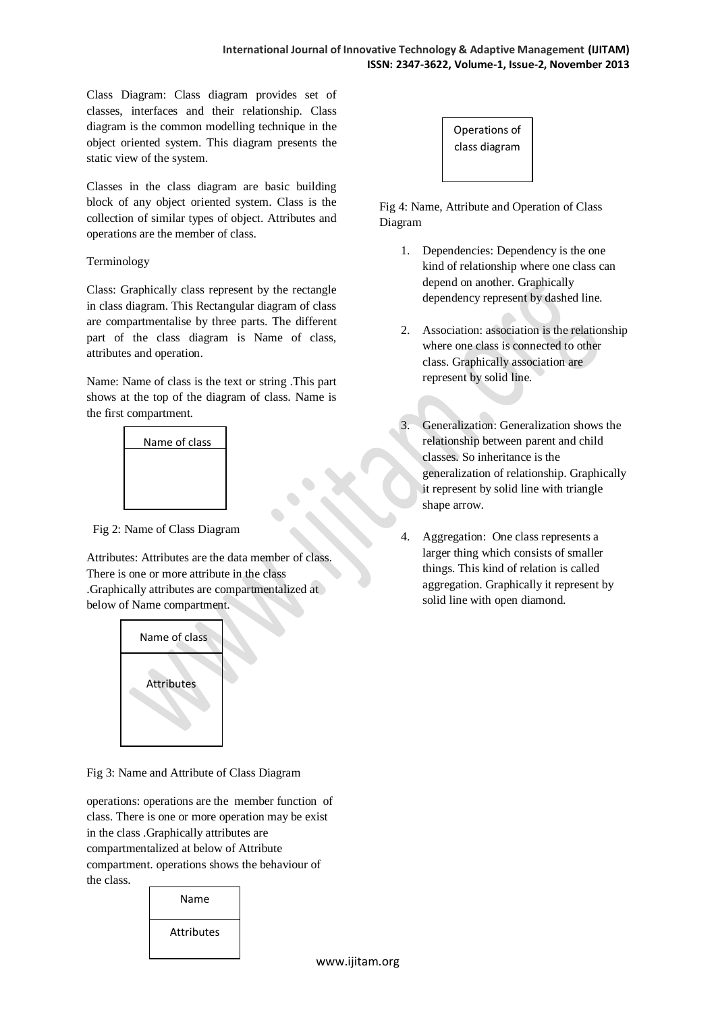Class Diagram: Class diagram provides set of classes, interfaces and their relationship. Class diagram is the common modelling technique in the object oriented system. This diagram presents the static view of the system.

Classes in the class diagram are basic building block of any object oriented system. Class is the collection of similar types of object. Attributes and operations are the member of class.

## Terminology

Class: Graphically class represent by the rectangle in class diagram. This Rectangular diagram of class are compartmentalise by three parts. The different part of the class diagram is Name of class, attributes and operation.

Name: Name of class is the text or string .This part shows at the top of the diagram of class. Name is the first compartment.



Fig 2: Name of Class Diagram

Attributes: Attributes are the data member of class. There is one or more attribute in the class .Graphically attributes are compartmentalized at below of Name compartment.



Fig 3: Name and Attribute of Class Diagram

operations: operations are the member function of class. There is one or more operation may be exist in the class .Graphically attributes are compartmentalized at below of Attribute compartment. operations shows the behaviour of the class.





Fig 4: Name, Attribute and Operation of Class Diagram

- 1. Dependencies: Dependency is the one kind of relationship where one class can depend on another. Graphically dependency represent by dashed line.
- 2. Association: association is the relationship where one class is connected to other class. Graphically association are represent by solid line.
- 3. Generalization: Generalization shows the relationship between parent and child classes. So inheritance is the generalization of relationship. Graphically it represent by solid line with triangle shape arrow.
- Aggregation: One class represents a larger thing which consists of smaller things. This kind of relation is called aggregation. Graphically it represent by solid line with open diamond.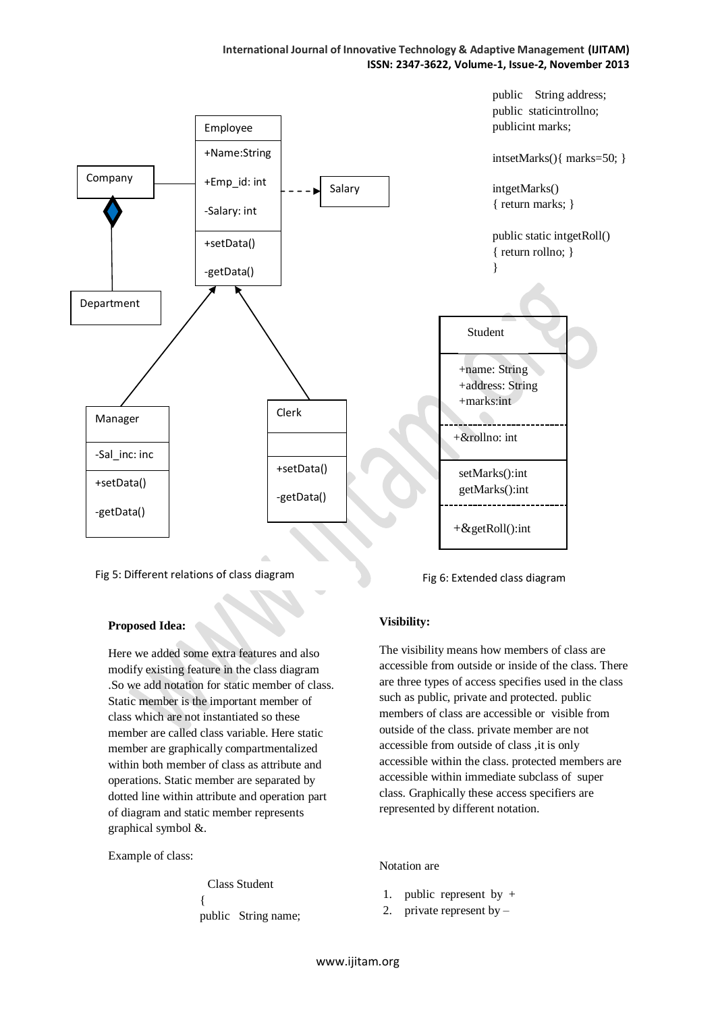## **International Journal of Innovative Technology & Adaptive Management (IJITAM) ISSN: 2347-3622, Volume-1, Issue-2, November 2013**



## Fig 5: Different relations of class diagram

## **Proposed Idea:**

Here we added some extra features and also modify existing feature in the class diagram .So we add notation for static member of class. Static member is the important member of class which are not instantiated so these member are called class variable. Here static member are graphically compartmentalized within both member of class as attribute and operations. Static member are separated by dotted line within attribute and operation part of diagram and static member represents graphical symbol &.

Example of class:

 Class Student { public String name;

Fig 6: Extended class diagram

## **Visibility:**

The visibility means how members of class are accessible from outside or inside of the class. There are three types of access specifies used in the class such as public, private and protected. public members of class are accessible or visible from outside of the class. private member are not accessible from outside of class ,it is only accessible within the class. protected members are accessible within immediate subclass of super class. Graphically these access specifiers are represented by different notation.

## Notation are

- 1. public represent by +
- 2. private represent by –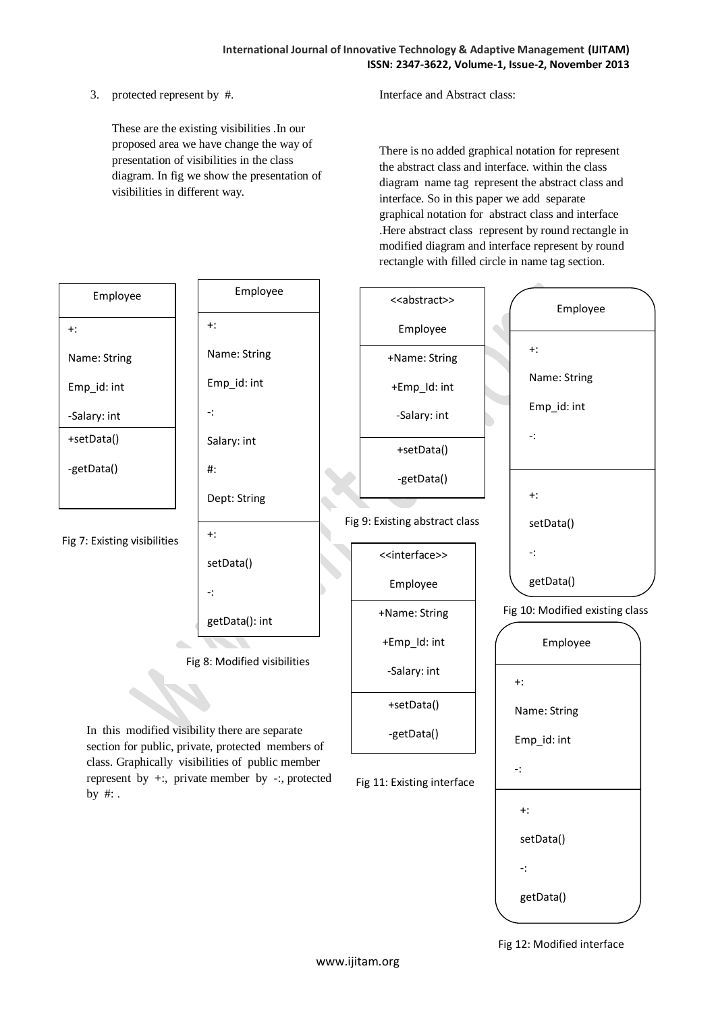3. protected represent by #.

These are the existing visibilities .In our proposed area we have change the way of presentation of visibilities in the class diagram. In fig we show the presentation of visibilities in different way.

Interface and Abstract class:

There is no added graphical notation for represent the abstract class and interface. within the class diagram name tag represent the abstract class and interface. So in this paper we add separate graphical notation for abstract class and interface .Here abstract class represent by round rectangle in modified diagram and interface represent by round rectangle with filled circle in name tag section.



Fig 12: Modified interface